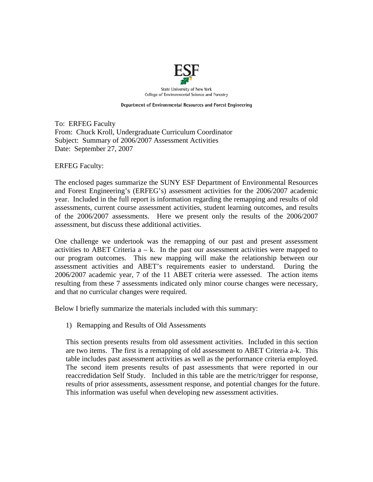

Department of Environmental Resources and Forest Engineering

To: ERFEG Faculty From: Chuck Kroll, Undergraduate Curriculum Coordinator Subject: Summary of 2006/2007 Assessment Activities Date: September 27, 2007

ERFEG Faculty:

The enclosed pages summarize the SUNY ESF Department of Environmental Resources and Forest Engineering's (ERFEG's) assessment activities for the 2006/2007 academic year. Included in the full report is information regarding the remapping and results of old assessments, current course assessment activities, student learning outcomes, and results of the 2006/2007 assessments. Here we present only the results of the 2006/2007 assessment, but discuss these additional activities.

One challenge we undertook was the remapping of our past and present assessment activities to ABET Criteria  $a - k$ . In the past our assessment activities were mapped to our program outcomes. This new mapping will make the relationship between our assessment activities and ABET's requirements easier to understand. During the 2006/2007 academic year, 7 of the 11 ABET criteria were assessed. The action items resulting from these 7 assessments indicated only minor course changes were necessary, and that no curricular changes were required.

Below I briefly summarize the materials included with this summary:

1) Remapping and Results of Old Assessments

This section presents results from old assessment activities. Included in this section are two items. The first is a remapping of old assessment to ABET Criteria a-k. This table includes past assessment activities as well as the performance criteria employed. The second item presents results of past assessments that were reported in our reaccredidation Self Study. Included in this table are the metric/trigger for response, results of prior assessments, assessment response, and potential changes for the future. This information was useful when developing new assessment activities.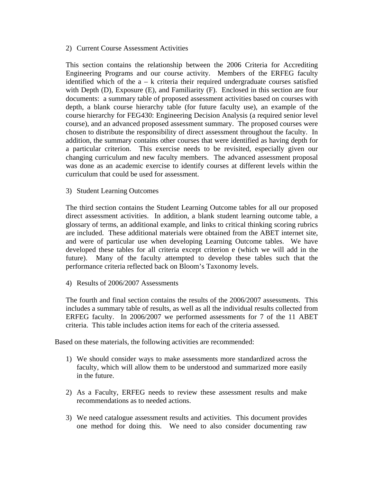## 2) Current Course Assessment Activities

This section contains the relationship between the 2006 Criteria for Accrediting Engineering Programs and our course activity. Members of the ERFEG faculty identified which of the a – k criteria their required undergraduate courses satisfied with Depth (D), Exposure (E), and Familiarity (F). Enclosed in this section are four documents: a summary table of proposed assessment activities based on courses with depth, a blank course hierarchy table (for future faculty use), an example of the course hierarchy for FEG430: Engineering Decision Analysis (a required senior level course), and an advanced proposed assessment summary. The proposed courses were chosen to distribute the responsibility of direct assessment throughout the faculty. In addition, the summary contains other courses that were identified as having depth for a particular criterion. This exercise needs to be revisited, especially given our changing curriculum and new faculty members. The advanced assessment proposal was done as an academic exercise to identify courses at different levels within the curriculum that could be used for assessment.

3) Student Learning Outcomes

The third section contains the Student Learning Outcome tables for all our proposed direct assessment activities. In addition, a blank student learning outcome table, a glossary of terms, an additional example, and links to critical thinking scoring rubrics are included. These additional materials were obtained from the ABET internet site, and were of particular use when developing Learning Outcome tables. We have developed these tables for all criteria except criterion e (which we will add in the future). Many of the faculty attempted to develop these tables such that the performance criteria reflected back on Bloom's Taxonomy levels.

4) Results of 2006/2007 Assessments

The fourth and final section contains the results of the 2006/2007 assessments. This includes a summary table of results, as well as all the individual results collected from ERFEG faculty. In 2006/2007 we performed assessments for 7 of the 11 ABET criteria. This table includes action items for each of the criteria assessed.

Based on these materials, the following activities are recommended:

- 1) We should consider ways to make assessments more standardized across the faculty, which will allow them to be understood and summarized more easily in the future.
- 2) As a Faculty, ERFEG needs to review these assessment results and make recommendations as to needed actions.
- 3) We need catalogue assessment results and activities. This document provides one method for doing this. We need to also consider documenting raw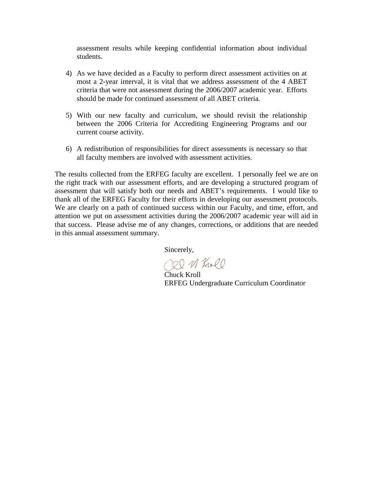assessment results while keeping confidential information about individual students.

- 4) As we have decided as a Faculty to perform direct assessment activities on at most a 2-year interval, it is vital that we address assessment of the 4 ABET criteria that were not assessment during the 2006/2007 academic year. Efforts should be made for continued assessment of all ABET criteria.
- 5) With our new faculty and curriculum, we should revisit the relationship between the 2006 Criteria for Accrediting Engineering Programs and our current course activity.
- 6) A redistribution of responsibilities for direct assessments is necessary so that all faculty members are involved with assessment activities.

The results collected from the ERFEG faculty are excellent. I personally feel we are on the right track with our assessment efforts, and are developing a structured program of assessment that will satisfy both our needs and ABET's requirements. I would like to thank all of the ERFEG Faculty for their efforts in developing our assessment protocols. We are clearly on a path of continued success within our Faculty, and time, effort, and attention we put on assessment activities during the 2006/2007 academic year will aid in that success. Please advise me of any changes, corrections, or additions that are needed in this annual assessment summary.

Sincerely,

Cel 11 Kull

 Chuck Kroll ERFEG Undergraduate Curriculum Coordinator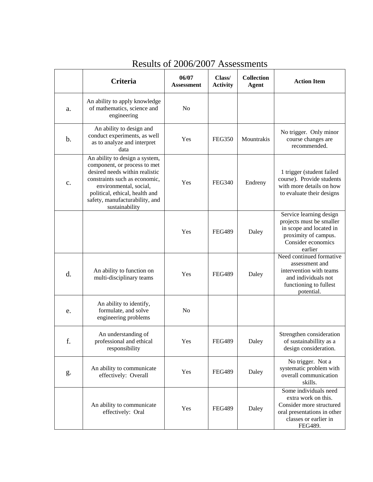|    | Criteria                                                                                                                                                                                                                                          | 06/07<br>Assessment | Class/<br><b>Activity</b> | <b>Collection</b><br><b>Agent</b> | <b>Action Item</b>                                                                                                                          |
|----|---------------------------------------------------------------------------------------------------------------------------------------------------------------------------------------------------------------------------------------------------|---------------------|---------------------------|-----------------------------------|---------------------------------------------------------------------------------------------------------------------------------------------|
| a. | An ability to apply knowledge<br>of mathematics, science and<br>engineering                                                                                                                                                                       | N <sub>o</sub>      |                           |                                   |                                                                                                                                             |
| b. | An ability to design and<br>conduct experiments, as well<br>as to analyze and interpret<br>data                                                                                                                                                   | Yes                 | <b>FEG350</b>             | Mountrakis                        | No trigger. Only minor<br>course changes are<br>recommended.                                                                                |
| c. | An ability to design a system,<br>component, or process to met<br>desired needs within realistic<br>constraints such as economic,<br>environmental, social,<br>political, ethical, health and<br>safety, manufacturability, and<br>sustainability | Yes                 | <b>FEG340</b>             | Endreny                           | 1 trigger (student failed<br>course). Provide students<br>with more details on how<br>to evaluate their designs                             |
|    |                                                                                                                                                                                                                                                   | Yes                 | <b>FEG489</b>             | Daley                             | Service learning design<br>projects must be smaller<br>in scope and located in<br>proximity of campus.<br>Consider economics<br>earlier     |
| d. | An ability to function on<br>multi-disciplinary teams                                                                                                                                                                                             | Yes                 | <b>FEG489</b>             | Daley                             | Need continued formative<br>assessment and<br>intervention with teams<br>and individuals not<br>functioning to fullest<br>potential.        |
| e. | An ability to identify,<br>formulate, and solve<br>engineering problems                                                                                                                                                                           | N <sub>o</sub>      |                           |                                   |                                                                                                                                             |
| f. | An understanding of<br>professional and ethical<br>responsibility                                                                                                                                                                                 | Yes                 | <b>FEG489</b>             | Daley                             | Strengthen consideration<br>of sustainabillity as a<br>design consideration.                                                                |
| g. | An ability to communicate<br>effectively: Overall                                                                                                                                                                                                 | Yes                 | <b>FEG489</b>             | Daley                             | No trigger. Not a<br>systematic problem with<br>overall communication<br>skills.                                                            |
|    | An ability to communicate<br>effectively: Oral                                                                                                                                                                                                    | Yes                 | <b>FEG489</b>             | Daley                             | Some individuals need<br>extra work on this.<br>Consider more structured<br>oral presentations in other<br>classes or earlier in<br>FEG489. |

## Results of 2006/2007 Assessments